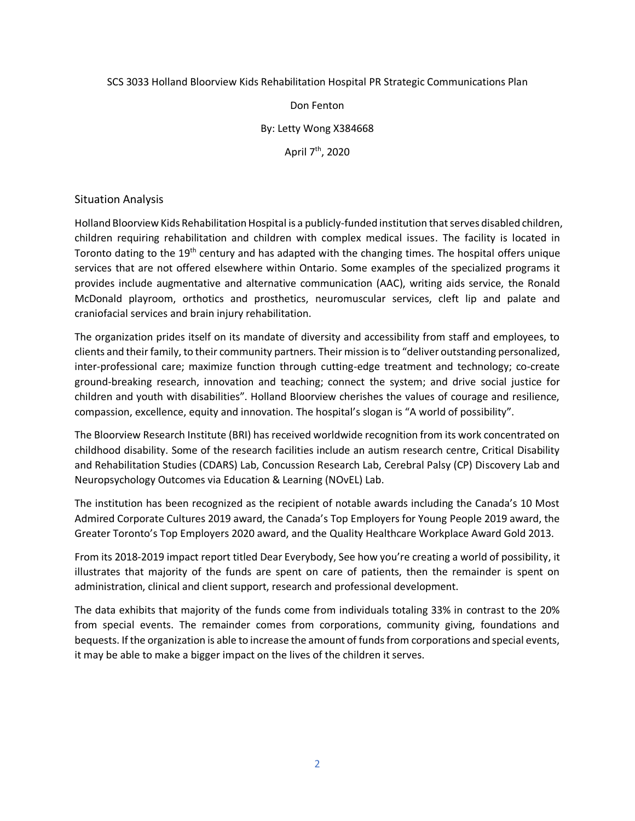#### SCS 3033 Holland Bloorview Kids Rehabilitation Hospital PR Strategic Communications Plan

Don Fenton

By: Letty Wong X384668

April 7<sup>th</sup>, 2020

### Situation Analysis

Holland Bloorview Kids Rehabilitation Hospital is a publicly-funded institution that serves disabled children, children requiring rehabilitation and children with complex medical issues. The facility is located in Toronto dating to the 19<sup>th</sup> century and has adapted with the changing times. The hospital offers unique services that are not offered elsewhere within Ontario. Some examples of the specialized programs it provides include augmentative and alternative communication (AAC), writing aids service, the Ronald McDonald playroom, orthotics and prosthetics, neuromuscular services, cleft lip and palate and craniofacial services and brain injury rehabilitation.

The organization prides itself on its mandate of diversity and accessibility from staff and employees, to clients and their family, to their community partners. Their mission is to "deliver outstanding personalized, inter-professional care; maximize function through cutting-edge treatment and technology; co-create ground-breaking research, innovation and teaching; connect the system; and drive social justice for children and youth with disabilities". Holland Bloorview cherishes the values of courage and resilience, compassion, excellence, equity and innovation. The hospital's slogan is "A world of possibility".

The Bloorview Research Institute (BRI) has received worldwide recognition from its work concentrated on childhood disability. Some of the research facilities include an autism research centre, Critical Disability and Rehabilitation Studies (CDARS) Lab, Concussion Research Lab, Cerebral Palsy (CP) Discovery Lab and Neuropsychology Outcomes via Education & Learning (NOvEL) Lab.

The institution has been recognized as the recipient of notable awards including the Canada's 10 Most Admired Corporate Cultures 2019 award, the Canada's Top Employers for Young People 2019 award, the Greater Toronto's Top Employers 2020 award, and the Quality Healthcare Workplace Award Gold 2013.

From its 2018-2019 impact report titled Dear Everybody, See how you're creating a world of possibility, it illustrates that majority of the funds are spent on care of patients, then the remainder is spent on administration, clinical and client support, research and professional development.

The data exhibits that majority of the funds come from individuals totaling 33% in contrast to the 20% from special events. The remainder comes from corporations, community giving, foundations and bequests. If the organization is able to increase the amount of funds from corporations and special events, it may be able to make a bigger impact on the lives of the children it serves.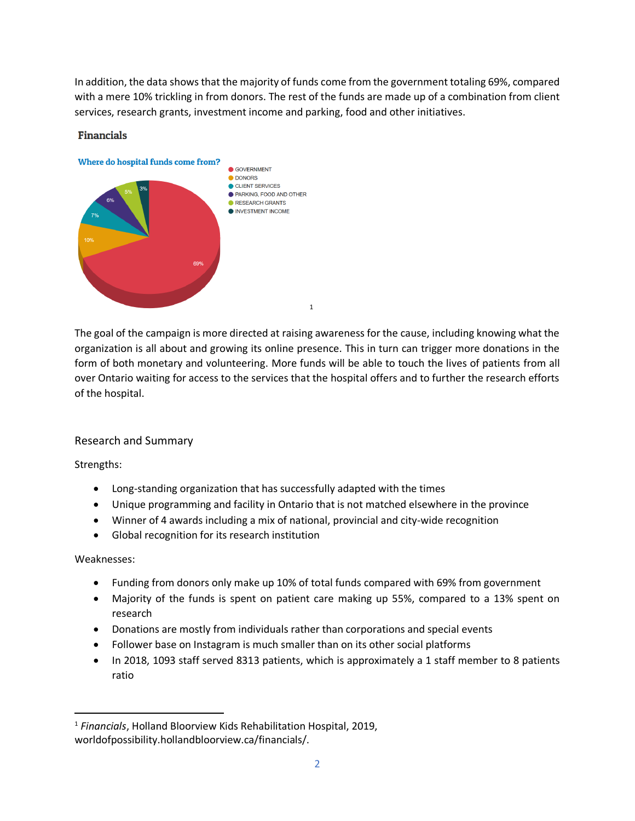In addition, the data shows that the majority of funds come from the government totaling 69%, compared with a mere 10% trickling in from donors. The rest of the funds are made up of a combination from client services, research grants, investment income and parking, food and other initiatives.



#### **Financials**

The goal of the campaign is more directed at raising awareness for the cause, including knowing what the organization is all about and growing its online presence. This in turn can trigger more donations in the form of both monetary and volunteering. More funds will be able to touch the lives of patients from all over Ontario waiting for access to the services that the hospital offers and to further the research efforts of the hospital.

# Research and Summary

Strengths:

- Long-standing organization that has successfully adapted with the times
- Unique programming and facility in Ontario that is not matched elsewhere in the province
- Winner of 4 awards including a mix of national, provincial and city-wide recognition
- Global recognition for its research institution

# Weaknesses:

- Funding from donors only make up 10% of total funds compared with 69% from government
- Majority of the funds is spent on patient care making up 55%, compared to a 13% spent on research
- Donations are mostly from individuals rather than corporations and special events
- Follower base on Instagram is much smaller than on its other social platforms
- In 2018, 1093 staff served 8313 patients, which is approximately a 1 staff member to 8 patients ratio

<sup>1</sup> *Financials*, Holland Bloorview Kids Rehabilitation Hospital, 2019, worldofpossibility.hollandbloorview.ca/financials/.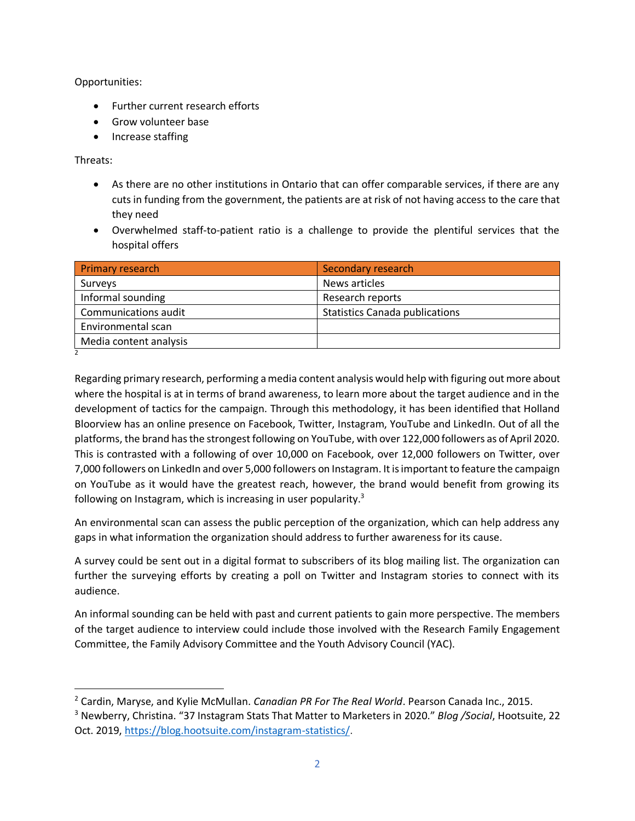Opportunities:

- Further current research efforts
- Grow volunteer base
- Increase staffing

Threats:

- As there are no other institutions in Ontario that can offer comparable services, if there are any cuts in funding from the government, the patients are at risk of not having access to the care that they need
- Overwhelmed staff-to-patient ratio is a challenge to provide the plentiful services that the hospital offers

| Primary research       | Secondary research                    |
|------------------------|---------------------------------------|
| Surveys                | News articles                         |
| Informal sounding      | Research reports                      |
| Communications audit   | <b>Statistics Canada publications</b> |
| Environmental scan     |                                       |
| Media content analysis |                                       |
|                        |                                       |

Regarding primary research, performing a media content analysis would help with figuring out more about where the hospital is at in terms of brand awareness, to learn more about the target audience and in the development of tactics for the campaign. Through this methodology, it has been identified that Holland Bloorview has an online presence on Facebook, Twitter, Instagram, YouTube and LinkedIn. Out of all the platforms, the brand has the strongest following on YouTube, with over 122,000 followers as of April 2020. This is contrasted with a following of over 10,000 on Facebook, over 12,000 followers on Twitter, over 7,000 followers on LinkedIn and over 5,000 followers on Instagram. It is important to feature the campaign on YouTube as it would have the greatest reach, however, the brand would benefit from growing its following on Instagram, which is increasing in user popularity. $3$ 

An environmental scan can assess the public perception of the organization, which can help address any gaps in what information the organization should address to further awareness for its cause.

A survey could be sent out in a digital format to subscribers of its blog mailing list. The organization can further the surveying efforts by creating a poll on Twitter and Instagram stories to connect with its audience.

An informal sounding can be held with past and current patients to gain more perspective. The members of the target audience to interview could include those involved with the Research Family Engagement Committee, the Family Advisory Committee and the Youth Advisory Council (YAC).

<sup>2</sup> Cardin, Maryse, and Kylie McMullan. *Canadian PR For The Real World*. Pearson Canada Inc., 2015.

<sup>3</sup> Newberry, Christina. "37 Instagram Stats That Matter to Marketers in 2020." *Blog /Social*, Hootsuite, 22 Oct. 2019, [https://blog.hootsuite.com/instagram-statistics/.](about:blank)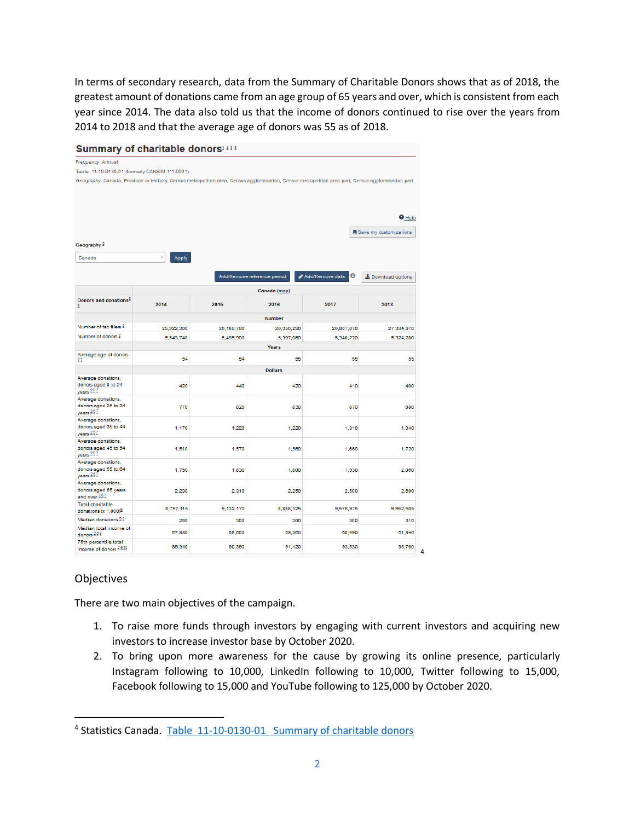In terms of secondary research, data from the Summary of Charitable Donors shows that as of 2018, the greatest amount of donations came from an age group of 65 years and over, which is consistent from each year since 2014. The data also told us that the income of donors continued to rise over the years from 2014 to 2018 and that the average age of donors was 55 as of 2018.

| Summary of charitable donors1334                                                                                                                   |                |            |                             |                      |                        |  |
|----------------------------------------------------------------------------------------------------------------------------------------------------|----------------|------------|-----------------------------|----------------------|------------------------|--|
| Frequency: Annual                                                                                                                                  |                |            |                             |                      |                        |  |
| Table: 11-10-0130-01 (formerly CANSIM 111-0001)                                                                                                    |                |            |                             |                      |                        |  |
| Geography: Canada, Province or territory, Census metropolitan area, Census agglomeration, Census metropolitan area part, Census agglomeration part |                |            |                             |                      |                        |  |
|                                                                                                                                                    |                |            |                             |                      |                        |  |
|                                                                                                                                                    |                |            |                             |                      |                        |  |
|                                                                                                                                                    |                |            |                             |                      |                        |  |
|                                                                                                                                                    |                |            |                             |                      | <b>O</b> Help          |  |
|                                                                                                                                                    |                |            |                             |                      | Save my customizations |  |
| Geography <sup>5</sup>                                                                                                                             |                |            |                             |                      |                        |  |
|                                                                                                                                                    |                |            |                             |                      |                        |  |
| Canada                                                                                                                                             | Apply          |            |                             |                      |                        |  |
|                                                                                                                                                    |                |            | Add/Remove reference period | Θ<br>Add/Remove data | ± Download options     |  |
|                                                                                                                                                    |                |            |                             |                      |                        |  |
|                                                                                                                                                    |                |            | Canada (map)                |                      |                        |  |
| Donors and donations <sup>2</sup><br>6                                                                                                             | 2014           | 2015       | 2016                        | 2017                 | 2018                   |  |
|                                                                                                                                                    |                |            | <b>Number</b>               |                      |                        |  |
| Number of tax filers 3                                                                                                                             | 25.922.300     | 26.186.760 | 26.350.290                  | 26,807,670           | 27.394.970             |  |
| Number of donors 2                                                                                                                                 | 5,543,740      | 5.495.900  | 5,397,060                   | 5.348.220            | 5,324,280              |  |
|                                                                                                                                                    |                |            | <b>Years</b>                |                      |                        |  |
| Average age of donors                                                                                                                              | 54             | 54         | 55                          | 55                   | 55                     |  |
| 27                                                                                                                                                 |                |            |                             |                      |                        |  |
| Average donations,                                                                                                                                 | <b>Dollars</b> |            |                             |                      |                        |  |
| donors aged 0 to 24                                                                                                                                | 420            | 440        | 420                         | 410                  | 400                    |  |
| years 267<br>Average donations,                                                                                                                    |                |            |                             |                      |                        |  |
| donors aged 25 to 34                                                                                                                               | 770            | 820        | 830                         | 870                  | 880                    |  |
| years 267<br>Average donations,                                                                                                                    |                |            |                             |                      |                        |  |
| donors aged 35 to 44                                                                                                                               | 1.170          | 1.220      | 1.220                       | 1.310                | 1.340                  |  |
| vears $267$<br>Average donations,                                                                                                                  |                |            |                             |                      |                        |  |
| donors aged 45 to 54                                                                                                                               | 1.510          | 1,570      | 1,560                       | 1,660                | 1,720                  |  |
| years 267<br>Average donations,                                                                                                                    |                |            |                             |                      |                        |  |
| donors aged 55 to 64                                                                                                                               | 1,750          | 1,830      | 1,800                       | 1.930                | 2.060                  |  |
| vears $267$                                                                                                                                        |                |            |                             |                      |                        |  |
| Average donations,<br>donors aged 65 years                                                                                                         | 2,230          | 2,310      | 2,250                       | 2,500                | 2,600                  |  |
| and over 267                                                                                                                                       |                |            |                             |                      |                        |  |
| <b>Total charitable</b><br>donations (x 1,000) <sup>6</sup>                                                                                        | 8,797,115      | 9,132,170  | 8,888,325                   | 9,576,975            | 9,952,505              |  |
| Median donations 68                                                                                                                                | 280            | 300        | 300                         | 300                  | 310                    |  |
| Median total income of<br>donors <sup>289</sup>                                                                                                    | 57,930         | 58,600     | 59.360                      | 60.490               | 61,940                 |  |
| 75th percentile total<br>income of donors 2910                                                                                                     | 89,340         | 90,390     | 91,420                      | 93,530               | 95,760                 |  |

# **Objectives**

There are two main objectives of the campaign.

1. To raise more funds through investors by engaging with current investors and acquiring new investors to increase investor base by October 2020.

4

2. To bring upon more awareness for the cause by growing its online presence, particularly Instagram following to 10,000, LinkedIn following to 10,000, Twitter following to 15,000, Facebook following to 15,000 and YouTube following to 125,000 by October 2020.

<sup>&</sup>lt;sup>4</sup> Statistics Canada. Table [11-10-0130-01 Summary of charitable donors](about:blank)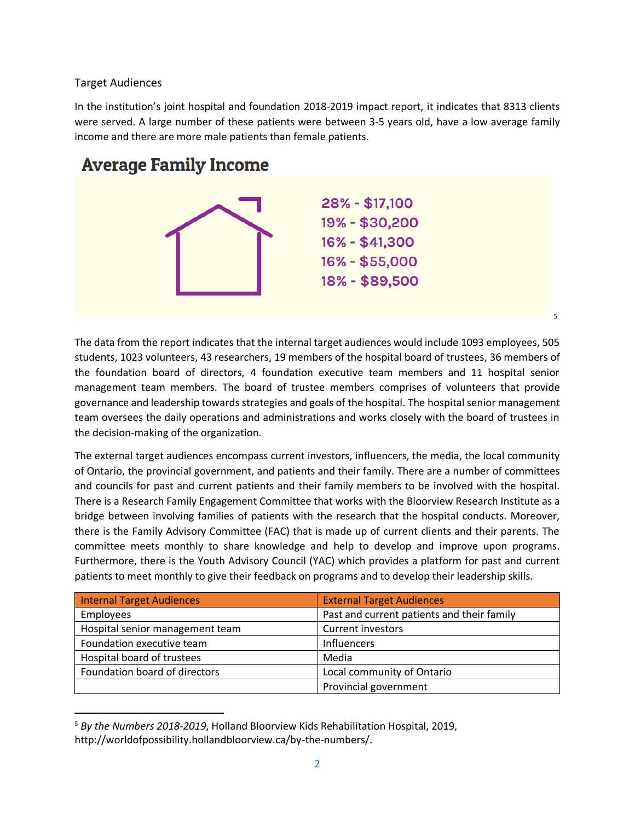# Target Audiences

In the institution's joint hospital and foundation 2018-2019 impact report, it indicates that 8313 clients were served. A large number of these patients were between 3-5 years old, have a low average family income and there are more male patients than female patients.

# **Average Family Income**



The data from the report indicates that the internal target audiences would include 1093 employees, 505 students, 1023 volunteers, 43 researchers, 19 members of the hospital board of trustees, 36 members of the foundation board of directors, 4 foundation executive team members and 11 hospital senior management team members. The board of trustee members comprises of volunteers that provide governance and leadership towards strategies and goals of the hospital. The hospital senior management team oversees the daily operations and administrations and works closely with the board of trustees in the decision-making of the organization.

5

The external target audiences encompass current investors, influencers, the media, the local community of Ontario, the provincial government, and patients and their family. There are a number of committees and councils for past and current patients and their family members to be involved with the hospital. There is a Research Family Engagement Committee that works with the Bloorview Research Institute as a bridge between involving families of patients with the research that the hospital conducts. Moreover, there is the Family Advisory Committee (FAC) that is made up of current clients and their parents. The committee meets monthly to share knowledge and help to develop and improve upon programs. Furthermore, there is the Youth Advisory Council (YAC) which provides a platform for past and current patients to meet monthly to give their feedback on programs and to develop their leadership skills.

| <b>Internal Target Audiences</b> | <b>External Target Audiences</b>           |  |
|----------------------------------|--------------------------------------------|--|
| Employees                        | Past and current patients and their family |  |
| Hospital senior management team  | <b>Current investors</b>                   |  |
| Foundation executive team        | Influencers                                |  |
| Hospital board of trustees       | Media                                      |  |
| Foundation board of directors    | Local community of Ontario                 |  |
|                                  | Provincial government                      |  |

<sup>5</sup> *By the Numbers 2018-2019*, Holland Bloorview Kids Rehabilitation Hospital, 2019, http://worldofpossibility.hollandbloorview.ca/by-the-numbers/.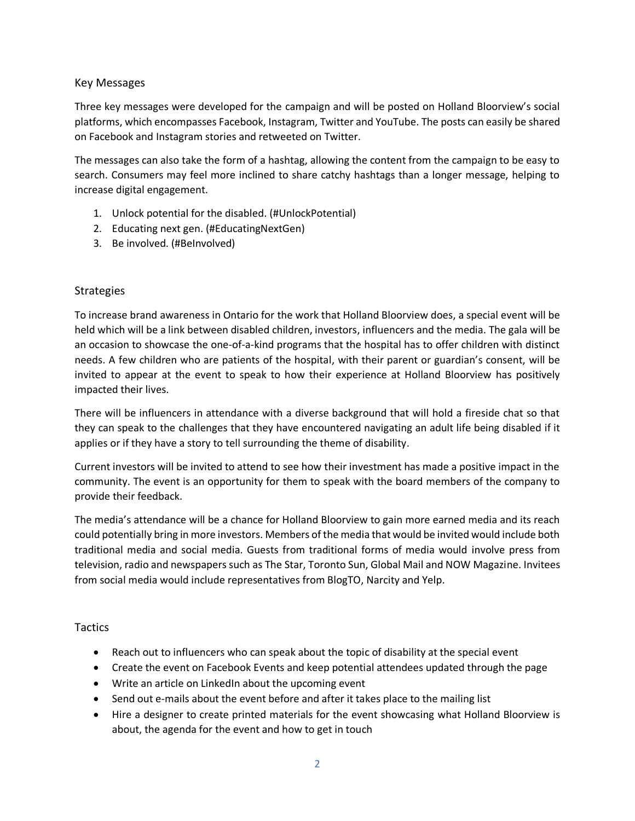### Key Messages

Three key messages were developed for the campaign and will be posted on Holland Bloorview's social platforms, which encompasses Facebook, Instagram, Twitter and YouTube. The posts can easily be shared on Facebook and Instagram stories and retweeted on Twitter.

The messages can also take the form of a hashtag, allowing the content from the campaign to be easy to search. Consumers may feel more inclined to share catchy hashtags than a longer message, helping to increase digital engagement.

- 1. Unlock potential for the disabled. (#UnlockPotential)
- 2. Educating next gen. (#EducatingNextGen)
- 3. Be involved. (#BeInvolved)

# Strategies

To increase brand awareness in Ontario for the work that Holland Bloorview does, a special event will be held which will be a link between disabled children, investors, influencers and the media. The gala will be an occasion to showcase the one-of-a-kind programs that the hospital has to offer children with distinct needs. A few children who are patients of the hospital, with their parent or guardian's consent, will be invited to appear at the event to speak to how their experience at Holland Bloorview has positively impacted their lives.

There will be influencers in attendance with a diverse background that will hold a fireside chat so that they can speak to the challenges that they have encountered navigating an adult life being disabled if it applies or if they have a story to tell surrounding the theme of disability.

Current investors will be invited to attend to see how their investment has made a positive impact in the community. The event is an opportunity for them to speak with the board members of the company to provide their feedback.

The media's attendance will be a chance for Holland Bloorview to gain more earned media and its reach could potentially bring in more investors. Members of the media that would be invited would include both traditional media and social media. Guests from traditional forms of media would involve press from television, radio and newspapers such as The Star, Toronto Sun, Global Mail and NOW Magazine. Invitees from social media would include representatives from BlogTO, Narcity and Yelp.

# **Tactics**

- Reach out to influencers who can speak about the topic of disability at the special event
- Create the event on Facebook Events and keep potential attendees updated through the page
- Write an article on LinkedIn about the upcoming event
- Send out e-mails about the event before and after it takes place to the mailing list
- Hire a designer to create printed materials for the event showcasing what Holland Bloorview is about, the agenda for the event and how to get in touch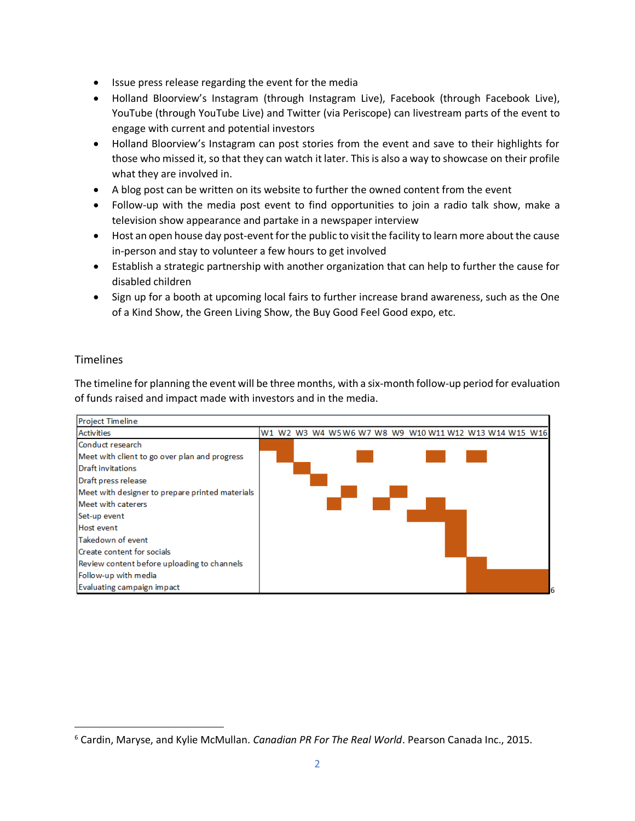- Issue press release regarding the event for the media
- Holland Bloorview's Instagram (through Instagram Live), Facebook (through Facebook Live), YouTube (through YouTube Live) and Twitter (via Periscope) can livestream parts of the event to engage with current and potential investors
- Holland Bloorview's Instagram can post stories from the event and save to their highlights for those who missed it, so that they can watch it later. This is also a way to showcase on their profile what they are involved in.
- A blog post can be written on its website to further the owned content from the event
- Follow-up with the media post event to find opportunities to join a radio talk show, make a television show appearance and partake in a newspaper interview
- Host an open house day post-event for the public to visit the facility to learn more about the cause in-person and stay to volunteer a few hours to get involved
- Establish a strategic partnership with another organization that can help to further the cause for disabled children
- Sign up for a booth at upcoming local fairs to further increase brand awareness, such as the One of a Kind Show, the Green Living Show, the Buy Good Feel Good expo, etc.

# **Timelines**

The timeline for planning the event will be three months, with a six-month follow-up period for evaluation of funds raised and impact made with investors and in the media.



<sup>6</sup> Cardin, Maryse, and Kylie McMullan. *Canadian PR For The Real World*. Pearson Canada Inc., 2015.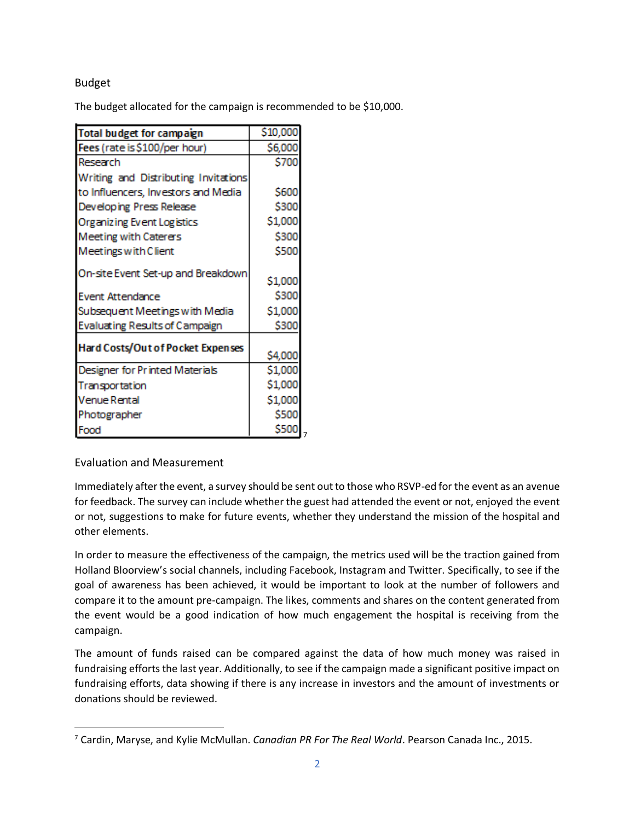# Budget

The budget allocated for the campaign is recommended to be \$10,000.

| Total budget for campaign            | \$10,000                |
|--------------------------------------|-------------------------|
| Fees (rate is \$100/per hour)        | \$6,000                 |
| Research                             | \$700                   |
| Writing and Distributing Invitations |                         |
| to Influencers, Investors and Media  | \$600                   |
| Developing Press Release             | \$300                   |
| Organizing Event Logistics           | \$1,000                 |
| Meeting with Caterers                | \$300                   |
| Meetings with Client                 | \$500                   |
| On-site Event Set-up and Breakdown   | \$1,000                 |
| Event Attendance                     | \$300                   |
| Subsequent Meetings with Media       | \$1,000                 |
| Evaluating Results of Campaign       | \$300                   |
| Hard Costs/Out of Pocket Expenses    | \$4,000                 |
| Designer for Printed Materials       | \$1,000                 |
| Transportation                       | \$1,000                 |
| <b>Venue Rental</b>                  | \$1,000                 |
| Photographer                         | \$500                   |
| Food                                 | \$500<br>$\overline{7}$ |

# Evaluation and Measurement

Immediately after the event, a survey should be sent out to those who RSVP-ed for the event as an avenue for feedback. The survey can include whether the guest had attended the event or not, enjoyed the event or not, suggestions to make for future events, whether they understand the mission of the hospital and other elements.

In order to measure the effectiveness of the campaign, the metrics used will be the traction gained from Holland Bloorview's social channels, including Facebook, Instagram and Twitter. Specifically, to see if the goal of awareness has been achieved, it would be important to look at the number of followers and compare it to the amount pre-campaign. The likes, comments and shares on the content generated from the event would be a good indication of how much engagement the hospital is receiving from the campaign.

The amount of funds raised can be compared against the data of how much money was raised in fundraising efforts the last year. Additionally, to see if the campaign made a significant positive impact on fundraising efforts, data showing if there is any increase in investors and the amount of investments or donations should be reviewed.

<sup>7</sup> Cardin, Maryse, and Kylie McMullan. *Canadian PR For The Real World*. Pearson Canada Inc., 2015.